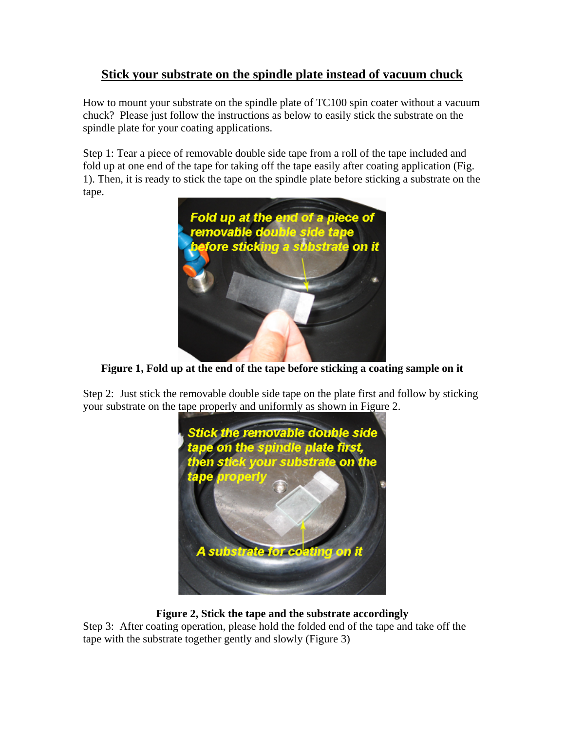## **Stick your substrate on the spindle plate instead of vacuum chuck**

How to mount your substrate on the spindle plate of TC100 spin coater without a vacuum chuck? Please just follow the instructions as below to easily stick the substrate on the spindle plate for your coating applications.

Step 1: Tear a piece of removable double side tape from a roll of the tape included and fold up at one end of the tape for taking off the tape easily after coating application (Fig. 1). Then, it is ready to stick the tape on the spindle plate before sticking a substrate on the tape.



**Figure 1, Fold up at the end of the tape before sticking a coating sample on it** 

Step 2: Just stick the removable double side tape on the plate first and follow by sticking your substrate on the tape properly and uniformly as shown in Figure 2.



## **Figure 2, Stick the tape and the substrate accordingly**

Step 3: After coating operation, please hold the folded end of the tape and take off the tape with the substrate together gently and slowly (Figure 3)